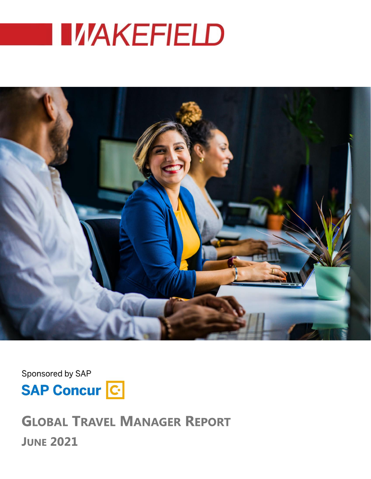



Sponsored by SAP



**GLOBAL TRAVEL MANAGER REPORT JUNE 2021**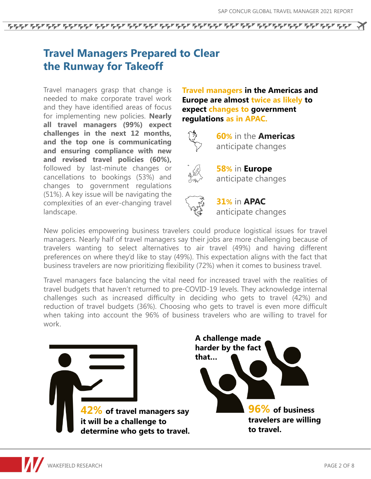# **Travel Managers Prepared to Clear the Runway for Takeoff**

Travel managers grasp that change is needed to make corporate travel work and they have identified areas of focus for implementing new policies. **Nearly all travel managers (99%) expect challenges in the next 12 months, and the top one is communicating and ensuring compliance with new and revised travel policies (60%),** followed by last-minute changes or cancellations to bookings (53%) and changes to government regulations (51%). A key issue will be navigating the complexities of an ever-changing travel landscape.

**Travel managers in the Americas and Europe are almost twice as likely to expect changes to government regulations as in APAC.** 



**60%** in the **Americas** anticipate changes



**58%** in **Europe** anticipate changes

**31%** in **APAC** anticipate changes

New policies empowering business travelers could produce logistical issues for travel managers. Nearly half of travel managers say their jobs are more challenging because of travelers wanting to select alternatives to air travel (49%) and having different preferences on where they'd like to stay (49%). This expectation aligns with the fact that business travelers are now prioritizing flexibility (72%) when it comes to business travel.

Travel managers face balancing the vital need for increased travel with the realities of travel budgets that haven't returned to pre-COVID-19 levels. They acknowledge internal challenges such as increased difficulty in deciding who gets to travel (42%) and reduction of travel budgets (36%). Choosing who gets to travel is even more difficult when taking into account the 96% of business travelers who are willing to travel for work.

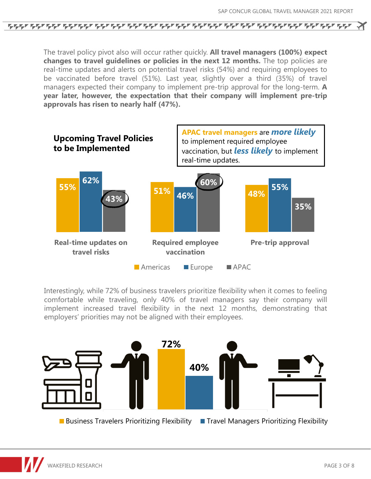The travel policy pivot also will occur rather quickly. **All travel managers (100%) expect changes to travel guidelines or policies in the next 12 months.** The top policies are real-time updates and alerts on potential travel risks (54%) and requiring employees to be vaccinated before travel (51%). Last year, slightly over a third (35%) of travel managers expected their company to implement pre-trip approval for the long-term. **A year later, however, the expectation that their company will implement pre-trip approvals has risen to nearly half (47%).**



Interestingly, while 72% of business travelers prioritize flexibility when it comes to feeling comfortable while traveling, only 40% of travel managers say their company will implement increased travel flexibility in the next 12 months, demonstrating that employers' priorities may not be aligned with their employees.

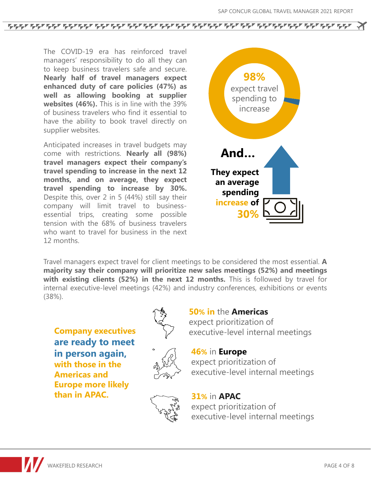The COVID-19 era has reinforced travel managers' responsibility to do all they can to keep business travelers safe and secure. **Nearly half of travel managers expect enhanced duty of care policies (47%) as well as allowing booking at supplier websites (46%).** This is in line with the 39% of business travelers who find it essential to have the ability to book travel directly on supplier websites.

Anticipated increases in travel budgets may come with restrictions. **Nearly all (98%) travel managers expect their company's travel spending to increase in the next 12 months, and on average, they expect travel spending to increase by 30%.** Despite this, over 2 in 5 (44%) still say their company will limit travel to businessessential trips, creating some possible tension with the 68% of business travelers who want to travel for business in the next 12 months.



Travel managers expect travel for client meetings to be considered the most essential. **A majority say their company will prioritize new sales meetings (52%) and meetings with existing clients (52%) in the next 12 months.** This is followed by travel for internal executive-level meetings (42%) and industry conferences, exhibitions or events (38%).

**Company executives are ready to meet in person again, with those in the Americas and Europe more likely than in APAC.**





**50% in** the **Americas** expect prioritization of

#### **46%** in **Europe**

expect prioritization of executive-level internal meetings



#### **31%** in **APAC**

expect prioritization of executive-level internal meetings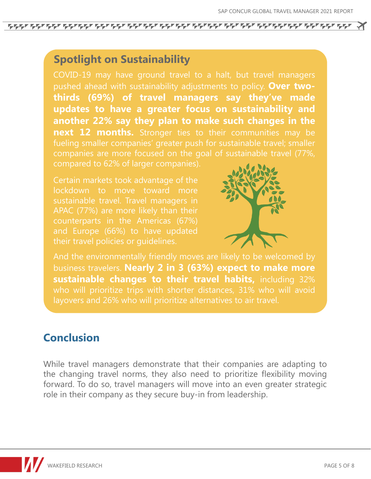ፍዱባፍሩባ ፍጭ ፍጹባ እንደ በፍዱባፍሩባ ፍዱባ ፍዱባ ፍዱባፍሩባፍሩባ ፍዱባ ፍዱባ ፍጹባ

## **Spotlight on Sustainability**

COVID-19 may have ground travel to a halt, but travel managers pushed ahead with sustainability adjustments to policy. **Over twothirds (69%) of travel managers say they've made updates to have a greater focus on sustainability and another 22% say they plan to make such changes in the next 12 months.** Stronger ties to their communities may be fueling smaller companies' greater push for sustainable travel; smaller companies are more focused on the goal of sustainable travel (77%, compared to 62% of larger companies).

Certain markets took advantage of the lockdown to move toward more sustainable travel. Travel managers in APAC (77%) are more likely than their and Europe (66%) to have updated



And the environmentally friendly moves are likely to be welcomed by business travelers. **Nearly 2 in 3 (63%) expect to make more sustainable changes to their travel habits,** including 32% layovers and 26% who will prioritize alternatives to air travel.

# **Conclusion**

While travel managers demonstrate that their companies are adapting to the changing travel norms, they also need to prioritize flexibility moving forward. To do so, travel managers will move into an even greater strategic role in their company as they secure buy-in from leadership.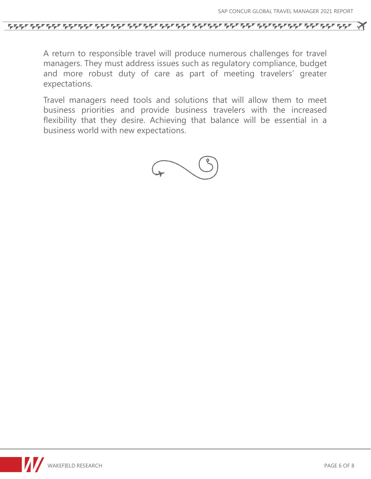A return to responsible travel will produce numerous challenges for travel managers. They must address issues such as regulatory compliance, budget and more robust duty of care as part of meeting travelers' greater expectations.

Travel managers need tools and solutions that will allow them to meet business priorities and provide business travelers with the increased flexibility that they desire. Achieving that balance will be essential in a business world with new expectations.

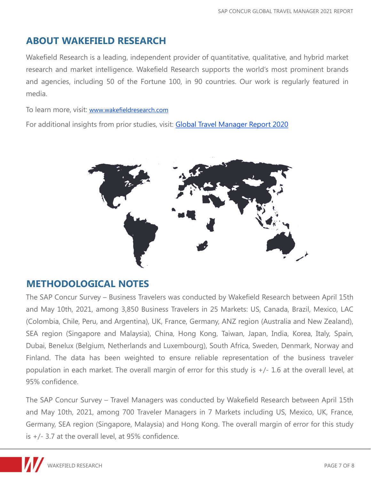## **ABOUT WAKEFIELD RESEARCH**

Wakefield Research is a leading, independent provider of quantitative, qualitative, and hybrid market research and market intelligence. Wakefield Research supports the world's most prominent brands and agencies, including 50 of the Fortune 100, in 90 countries. Our work is regularly featured in media.

To learn more, visit: [www.wakefieldresearch.com](http://www.wakefieldresearch.com/)

For additional insights from prior studies, visit: Global Travel [Manager](https://www.concur.com/en-us/resource-center/whitepapers/global-travel-manager-report-2020) Report 2020



### **METHODOLOGICAL NOTES**

The SAP Concur Survey – Business Travelers was conducted by Wakefield Research between April 15th and May 10th, 2021, among 3,850 Business Travelers in 25 Markets: US, Canada, Brazil, Mexico, LAC (Colombia, Chile, Peru, and Argentina), UK, France, Germany, ANZ region (Australia and New Zealand), SEA region (Singapore and Malaysia), China, Hong Kong, Taiwan, Japan, India, Korea, Italy, Spain, Dubai, Benelux (Belgium, Netherlands and Luxembourg), South Africa, Sweden, Denmark, Norway and Finland. The data has been weighted to ensure reliable representation of the business traveler population in each market. The overall margin of error for this study is +/- 1.6 at the overall level, at 95% confidence.

The SAP Concur Survey – Travel Managers was conducted by Wakefield Research between April 15th and May 10th, 2021, among 700 Traveler Managers in 7 Markets including US, Mexico, UK, France, Germany, SEA region (Singapore, Malaysia) and Hong Kong. The overall margin of error for this study is +/- 3.7 at the overall level, at 95% confidence.